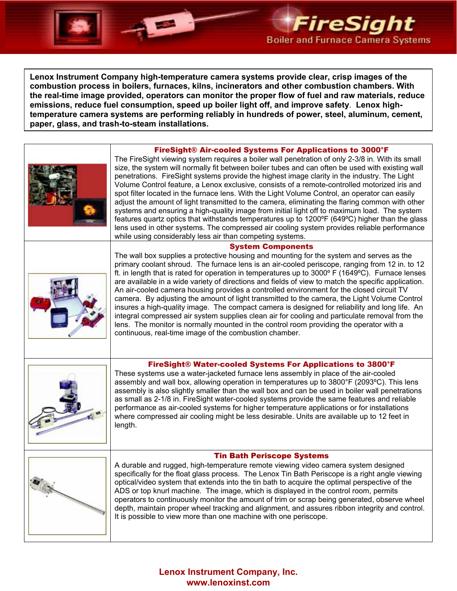

**Lenox Instrument Company high-temperature camera systems provide clear, crisp images of the combustion process in boilers, furnaces, kilns, incinerators and other combustion chambers. With the real-time image provided, operators can monitor the proper flow of fuel and raw materials, reduce emissions, reduce fuel consumption, speed up boiler light off, and improve safety**. **Lenox hightemperature camera systems are performing reliably in hundreds of power, steel, aluminum, cement, paper, glass, and trash-to-steam installations.**

### FireSight® Air-cooled Systems For Applications to 3000°F



The FireSight viewing system requires a boiler wall penetration of only 2-3/8 in. With its small size, the system will normally fit between boiler tubes and can often be used with existing wall penetrations. FireSight systems provide the highest image clarity in the industry. The Light Volume Control feature, a Lenox exclusive, consists of a remote-controlled motorized iris and spot filter located in the furnace lens. With the Light Volume Control, an operator can easily adjust the amount of light transmitted to the camera, eliminating the flaring common with other systems and ensuring a high-quality image from initial light off to maximum load. The system features quartz optics that withstands temperatures up to 1200ºF (649ºC) higher than the glass lens used in other systems. The compressed air cooling system provides reliable performance while using considerably less air than competing systems.

### System Components



The wall box supplies a protective housing and mounting for the system and serves as the primary coolant shroud. The furnace lens is an air-cooled periscope, ranging from 12 in. to 12 ft. in length that is rated for operation in temperatures up to 3000º F (1649ºC). Furnace lenses are available in a wide variety of directions and fields of view to match the specific application. An air-cooled camera housing provides a controlled environment for the closed circuit TV camera. By adjusting the amount of light transmitted to the camera, the Light Volume Control insures a high-quality image. The compact camera is designed for reliability and long life. An integral compressed air system supplies clean air for cooling and particulate removal from the lens. The monitor is normally mounted in the control room providing the operator with a continuous, real-time image of the combustion chamber.



## FireSight® Water-cooled Systems For Applications to 3800°F

These systems use a water-jacketed furnace lens assembly in place of the air-cooled assembly and wall box, allowing operation in temperatures up to 3800°F (2093ºC). This lens assembly is also slightly smaller than the wall box and can be used in boiler wall penetrations as small as 2-1/8 in. FireSight water-cooled systems provide the same features and reliable performance as air-cooled systems for higher temperature applications or for installations where compressed air cooling might be less desirable. Units are available up to 12 feet in length.





A durable and rugged, high-temperature remote viewing video camera system designed specifically for the float glass process. The Lenox Tin Bath Periscope is a right angle viewing optical/video system that extends into the tin bath to acquire the optimal perspective of the ADS or top knurl machine. The image, which is displayed in the control room, permits operators to continuously monitor the amount of trim or scrap being generated, observe wheel depth, maintain proper wheel tracking and alignment, and assures ribbon integrity and control. It is possible to view more than one machine with one periscope.

# **Lenox Instrument Company, Inc. www.lenoxinst.com**